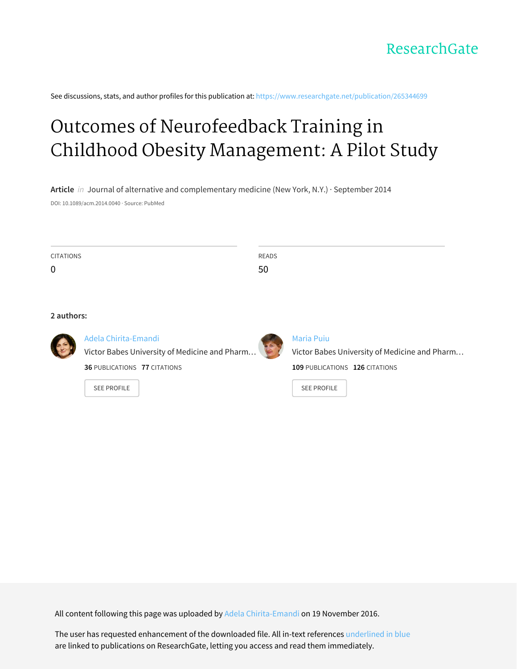See discussions, stats, and author profiles for this publication at: [https://www.researchgate.net/publication/265344699](https://www.researchgate.net/publication/265344699_Outcomes_of_Neurofeedback_Training_in_Childhood_Obesity_Management_A_Pilot_Study?enrichId=rgreq-bf1d16f24252cdda5fc7fa58a5a82aca-XXX&enrichSource=Y292ZXJQYWdlOzI2NTM0NDY5OTtBUzo0MzAyMzA0OTUwNzYzNTJAMTQ3OTU4NjM1MTQ4Mw%3D%3D&el=1_x_2&_esc=publicationCoverPdf)

# Outcomes of [Neurofeedback](https://www.researchgate.net/publication/265344699_Outcomes_of_Neurofeedback_Training_in_Childhood_Obesity_Management_A_Pilot_Study?enrichId=rgreq-bf1d16f24252cdda5fc7fa58a5a82aca-XXX&enrichSource=Y292ZXJQYWdlOzI2NTM0NDY5OTtBUzo0MzAyMzA0OTUwNzYzNTJAMTQ3OTU4NjM1MTQ4Mw%3D%3D&el=1_x_3&_esc=publicationCoverPdf) Training in Childhood Obesity Management: A Pilot Study

**Article** in Journal of alternative and complementary medicine (New York, N.Y.) · September 2014 DOI: 10.1089/acm.2014.0040 · Source: PubMed

| <b>CITATIONS</b> | READS |
|------------------|-------|
| $\mathbf 0$      | 50    |

# **2 authors:**



# Adela [Chirita-Emandi](https://www.researchgate.net/profile/Adela_Chirita-Emandi?enrichId=rgreq-bf1d16f24252cdda5fc7fa58a5a82aca-XXX&enrichSource=Y292ZXJQYWdlOzI2NTM0NDY5OTtBUzo0MzAyMzA0OTUwNzYzNTJAMTQ3OTU4NjM1MTQ4Mw%3D%3D&el=1_x_5&_esc=publicationCoverPdf)

Victor Babes [University](https://www.researchgate.net/institution/Victor_Babes_University_of_Medicine_and_Pharmacy_of_Timisoara?enrichId=rgreq-bf1d16f24252cdda5fc7fa58a5a82aca-XXX&enrichSource=Y292ZXJQYWdlOzI2NTM0NDY5OTtBUzo0MzAyMzA0OTUwNzYzNTJAMTQ3OTU4NjM1MTQ4Mw%3D%3D&el=1_x_6&_esc=publicationCoverPdf) of Medicine and Pharm…

**36** PUBLICATIONS **77** CITATIONS

SEE [PROFILE](https://www.researchgate.net/profile/Adela_Chirita-Emandi?enrichId=rgreq-bf1d16f24252cdda5fc7fa58a5a82aca-XXX&enrichSource=Y292ZXJQYWdlOzI2NTM0NDY5OTtBUzo0MzAyMzA0OTUwNzYzNTJAMTQ3OTU4NjM1MTQ4Mw%3D%3D&el=1_x_7&_esc=publicationCoverPdf)



# [Maria](https://www.researchgate.net/profile/Maria_Puiu?enrichId=rgreq-bf1d16f24252cdda5fc7fa58a5a82aca-XXX&enrichSource=Y292ZXJQYWdlOzI2NTM0NDY5OTtBUzo0MzAyMzA0OTUwNzYzNTJAMTQ3OTU4NjM1MTQ4Mw%3D%3D&el=1_x_5&_esc=publicationCoverPdf) Puiu

Victor Babes [University](https://www.researchgate.net/institution/Victor_Babes_University_of_Medicine_and_Pharmacy_of_Timisoara?enrichId=rgreq-bf1d16f24252cdda5fc7fa58a5a82aca-XXX&enrichSource=Y292ZXJQYWdlOzI2NTM0NDY5OTtBUzo0MzAyMzA0OTUwNzYzNTJAMTQ3OTU4NjM1MTQ4Mw%3D%3D&el=1_x_6&_esc=publicationCoverPdf) of Medicine and Pharm… **109** PUBLICATIONS **126** CITATIONS

SEE [PROFILE](https://www.researchgate.net/profile/Maria_Puiu?enrichId=rgreq-bf1d16f24252cdda5fc7fa58a5a82aca-XXX&enrichSource=Y292ZXJQYWdlOzI2NTM0NDY5OTtBUzo0MzAyMzA0OTUwNzYzNTJAMTQ3OTU4NjM1MTQ4Mw%3D%3D&el=1_x_7&_esc=publicationCoverPdf)

All content following this page was uploaded by Adela [Chirita-Emandi](https://www.researchgate.net/profile/Adela_Chirita-Emandi?enrichId=rgreq-bf1d16f24252cdda5fc7fa58a5a82aca-XXX&enrichSource=Y292ZXJQYWdlOzI2NTM0NDY5OTtBUzo0MzAyMzA0OTUwNzYzNTJAMTQ3OTU4NjM1MTQ4Mw%3D%3D&el=1_x_10&_esc=publicationCoverPdf) on 19 November 2016.

The user has requested enhancement of the downloaded file. All in-text references underlined in blue are linked to publications on ResearchGate, letting you access and read them immediately.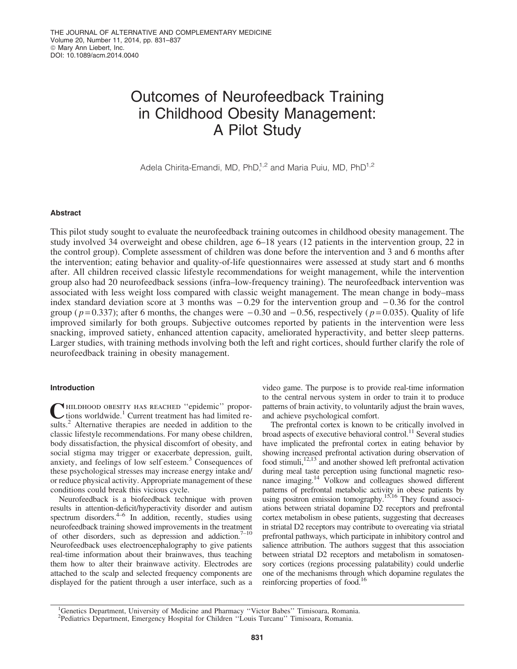# Outcomes of Neurofeedback Training in Childhood Obesity Management: A Pilot Study

Adela Chirita-Emandi, MD, PhD $1,2$  and Maria Puiu, MD, PhD $1,2$ 

# Abstract

This pilot study sought to evaluate the neurofeedback training outcomes in childhood obesity management. The study involved 34 overweight and obese children, age 6–18 years (12 patients in the intervention group, 22 in the control group). Complete assessment of children was done before the intervention and 3 and 6 months after the intervention; eating behavior and quality-of-life questionnaires were assessed at study start and 6 months after. All children received classic lifestyle recommendations for weight management, while the intervention group also had 20 neurofeedback sessions (infra–low-frequency training). The neurofeedback intervention was associated with less weight loss compared with classic weight management. The mean change in body–mass index standard deviation score at 3 months was  $-0.29$  for the intervention group and  $-0.36$  for the control group ( $p=0.337$ ); after 6 months, the changes were  $-0.30$  and  $-0.56$ , respectively ( $p=0.035$ ). Quality of life improved similarly for both groups. Subjective outcomes reported by patients in the intervention were less snacking, improved satiety, enhanced attention capacity, ameliorated hyperactivity, and better sleep patterns. Larger studies, with training methods involving both the left and right cortices, should further clarify the role of neurofeedback training in obesity management.

# Introduction

CHILDHOOD OBESITY HAS REACHED "epidemic" propor-<br>tions worldwide.<sup>1</sup> Current treatment has had limited results.<sup>2</sup> Alternative therapies are needed in addition to the classic lifestyle recommendations. For many obese children, body dissatisfaction, the physical discomfort of obesity, and social stigma may trigger or exacerbate depression, guilt, anxiety, and feelings of low self esteem.<sup>3</sup> Consequences of these psychological stresses may increase energy intake and/ or reduce physical activity. Appropriate management of these conditions could break this vicious cycle.

Neurofeedback is a biofeedback technique with proven results in attention-deficit/hyperactivity disorder and autism spectrum disorders.<sup>4–6</sup> In addition, recently, studies using neurofeedback training showed improvements in the treatment of other disorders, such as depression and addiction.<sup>7–10</sup> Neurofeedback uses electroencephalography to give patients real-time information about their brainwaves, thus teaching them how to alter their brainwave activity. Electrodes are attached to the scalp and selected frequency components are displayed for the patient through a user interface, such as a

video game. The purpose is to provide real-time information to the central nervous system in order to train it to produce patterns of brain activity, to voluntarily adjust the brain waves, and achieve psychological comfort.

The prefrontal cortex is known to be critically involved in broad aspects of executive behavioral control.<sup>11</sup> Several studies have implicated the prefrontal cortex in eating behavior by showing increased prefrontal activation during observation of food stimuli, $12,13$  and another showed left prefrontal activation during meal taste perception using functional magnetic resonance imaging.14 Volkow and colleagues showed different patterns of prefrontal metabolic activity in obese patients by using positron emission tomography.<sup>15,16</sup> They found associations between striatal dopamine D2 receptors and prefrontal cortex metabolism in obese patients, suggesting that decreases in striatal D2 receptors may contribute to overeating via striatal prefrontal pathways, which participate in inhibitory control and salience attribution. The authors suggest that this association between striatal D2 receptors and metabolism in somatosensory cortices (regions processing palatability) could underlie one of the mechanisms through which dopamine regulates the reinforcing properties of food.<sup>16</sup>

<sup>&</sup>lt;sup>1</sup>Genetics Department, University of Medicine and Pharmacy "Victor Babes" Timisoara, Romania. 2 Pediatrics Department, Emergency Hospital for Children ''Louis Turcanu'' Timisoara, Romania.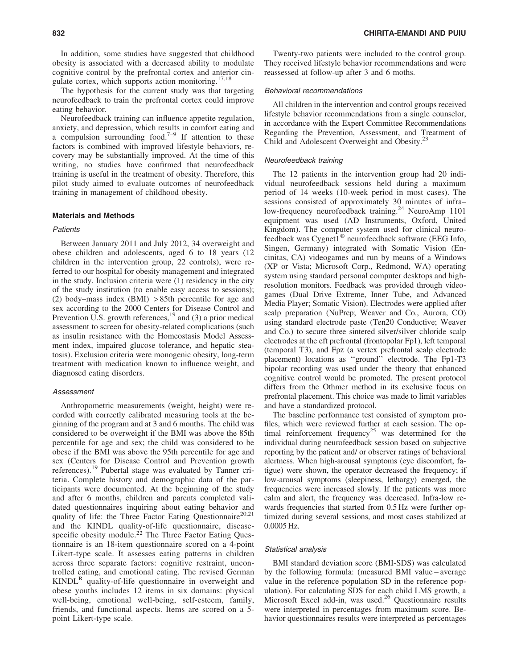In addition, some studies have suggested that childhood obesity is associated with a decreased ability to modulate cognitive control by the prefrontal cortex and anterior cingulate cortex, which supports action monitoring.<sup>17,18</sup>

The hypothesis for the current study was that targeting neurofeedback to train the prefrontal cortex could improve eating behavior.

Neurofeedback training can influence appetite regulation, anxiety, and depression, which results in comfort eating and a compulsion surrounding food.<sup> $7-9$ </sup> If attention to these factors is combined with improved lifestyle behaviors, recovery may be substantially improved. At the time of this writing, no studies have confirmed that neurofeedback training is useful in the treatment of obesity. Therefore, this pilot study aimed to evaluate outcomes of neurofeedback training in management of childhood obesity.

# Materials and Methods

### **Patients**

Between January 2011 and July 2012, 34 overweight and obese children and adolescents, aged 6 to 18 years (12 children in the intervention group, 22 controls), were referred to our hospital for obesity management and integrated in the study. Inclusion criteria were (1) residency in the city of the study institution (to enable easy access to sessions); (2) body–mass index (BMI) > 85th percentile for age and sex according to the 2000 Centers for Disease Control and Prevention U.S. growth references,  $^{19}$  and (3) a prior medical assessment to screen for obesity-related complications (such as insulin resistance with the Homeostasis Model Assessment index, impaired glucose tolerance, and hepatic steatosis). Exclusion criteria were monogenic obesity, long-term treatment with medication known to influence weight, and diagnosed eating disorders.

#### Assessment

Anthropometric measurements (weight, height) were recorded with correctly calibrated measuring tools at the beginning of the program and at 3 and 6 months. The child was considered to be overweight if the BMI was above the 85th percentile for age and sex; the child was considered to be obese if the BMI was above the 95th percentile for age and sex (Centers for Disease Control and Prevention growth references).<sup>19</sup> Pubertal stage was evaluated by Tanner criteria. Complete history and demographic data of the participants were documented. At the beginning of the study and after 6 months, children and parents completed validated questionnaires inquiring about eating behavior and quality of life: the Three Factor Eating Questionnaire<sup>20,21</sup> and the KINDL quality-of-life questionnaire, diseasespecific obesity module.<sup>22</sup> The Three Factor Eating Questionnaire is an 18-item questionnaire scored on a 4-point Likert-type scale. It assesses eating patterns in children across three separate factors: cognitive restraint, uncontrolled eating, and emotional eating. The revised German  $KINDL<sup>R</sup>$  quality-of-life questionnaire in overweight and obese youths includes 12 items in six domains: physical well-being, emotional well-being, self-esteem, family, friends, and functional aspects. Items are scored on a 5 point Likert-type scale.

Twenty-two patients were included to the control group. They received lifestyle behavior recommendations and were reassessed at follow-up after 3 and 6 moths.

#### Behavioral recommendations

All children in the intervention and control groups received lifestyle behavior recommendations from a single counselor, in accordance with the Expert Committee Recommendations Regarding the Prevention, Assessment, and Treatment of Child and Adolescent Overweight and Obesity.<sup>23</sup>

# Neurofeedback training

The 12 patients in the intervention group had 20 individual neurofeedback sessions held during a maximum period of 14 weeks (10-week period in most cases). The sessions consisted of approximately 30 minutes of infra– low-frequency neurofeedback training.<sup>24</sup> NeuroAmp 1101 equipment was used (AD Instruments, Oxford, United Kingdom). The computer system used for clinical neurofeedback was Cygnet1<sup>®</sup> neurofeedback software (EEG Info, Singen, Germany) integrated with Somatic Vision (Encinitas, CA) videogames and run by means of a Windows (XP or Vista; Microsoft Corp., Redmond, WA) operating system using standard personal computer desktops and highresolution monitors. Feedback was provided through videogames (Dual Drive Extreme, Inner Tube, and Advanced Media Player; Somatic Vision). Electrodes were applied after scalp preparation (NuPrep; Weaver and Co., Aurora, CO) using standard electrode paste (Ten20 Conductive; Weaver and Co.) to secure three sintered silver/silver chloride scalp electrodes at the eft prefrontal (frontopolar Fp1), left temporal (temporal T3), and Fpz (a vertex prefrontal scalp electrode placement) locations as ''ground'' electrode. The Fp1-T3 bipolar recording was used under the theory that enhanced cognitive control would be promoted. The present protocol differs from the Othmer method in its exclusive focus on prefrontal placement. This choice was made to limit variables and have a standardized protocol.

The baseline performance test consisted of symptom profiles, which were reviewed further at each session. The optimal reinforcement frequency<sup>25</sup> was determined for the individual during neurofeedback session based on subjective reporting by the patient and/ or observer ratings of behavioral alertness. When high-arousal symptoms (eye discomfort, fatigue) were shown, the operator decreased the frequency; if low-arousal symptoms (sleepiness, lethargy) emerged, the frequencies were increased slowly. If the patients was more calm and alert, the frequency was decreased. Infra-low rewards frequencies that started from 0.5 Hz were further optimized during several sessions, and most cases stabilized at 0.0005 Hz.

# Statistical analysis

BMI standard deviation score (BMI-SDS) was calculated by the following formula: (measured BMI value – average value in the reference population SD in the reference population). For calculating SDS for each child LMS growth, a Microsoft Excel add-in, was used.<sup>26</sup> Questionnaire results were interpreted in percentages from maximum score. Behavior questionnaires results were interpreted as percentages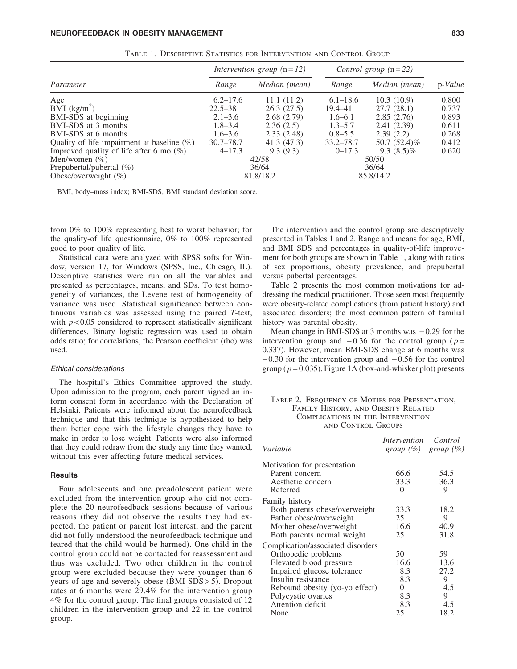|                                               | Intervention group $(n=12)$ |               | Control group $(n=22)$ |               |         |
|-----------------------------------------------|-----------------------------|---------------|------------------------|---------------|---------|
| Parameter                                     | Range                       | Median (mean) | Range                  | Median (mean) | p-Value |
| Age                                           | $6.2 - 17.6$                | 11.1(11.2)    | $6.1 - 18.6$           | 10.3(10.9)    | 0.800   |
| BMI $(kg/m^2)$                                | $22.5 - 38$                 | 26.3(27.5)    | 19.4–41                | 27.7(28.1)    | 0.737   |
| BMI-SDS at beginning                          | $2.1 - 3.6$                 | 2.68(2.79)    | $1.6 - 6.1$            | 2.85(2.76)    | 0.893   |
| BMI-SDS at 3 months                           | $1.8 - 3.4$                 | 2.36(2.5)     | $1.3 - 5.7$            | 2.41(2.39)    | 0.611   |
| BMI-SDS at 6 months                           | $1.6 - 3.6$                 | 2.33(2.48)    | $0.8 - 5.5$            | 2.39(2.2)     | 0.268   |
| Quality of life impairment at baseline $(\%)$ | $30.7 - 78.7$               | 41.3 (47.3)   | $33.2 - 78.7$          | 50.7 (52.4)%  | 0.412   |
| Improved quality of life after 6 mo $(\%)$    | $4 - 17.3$                  | 9.3(9.3)      | $0 - 17.3$             | $9.3(8.5)\%$  | 0.620   |
| Men/women $(\% )$                             | 42/58                       |               | 50/50                  |               |         |
| Prepubertal/pubertal $(\%)$                   | 36/64                       |               | 36/64                  |               |         |
| Obese/overweight $(\%)$                       |                             | 81.8/18.2     |                        | 85.8/14.2     |         |

Table 1. Descriptive Statistics for Intervention and Control Group

BMI, body–mass index; BMI-SDS, BMI standard deviation score.

from 0% to 100% representing best to worst behavior; for the quality-of life questionnaire, 0% to 100% represented good to poor quality of life.

Statistical data were analyzed with SPSS softs for Window, version 17, for Windows (SPSS, Inc., Chicago, IL). Descriptive statistics were run on all the variables and presented as percentages, means, and SDs. To test homogeneity of variances, the Levene test of homogeneity of variance was used. Statistical significance between continuous variables was assessed using the paired *T*-test, with  $p < 0.05$  considered to represent statistically significant differences. Binary logistic regression was used to obtain odds ratio; for correlations, the Pearson coefficient (rho) was used.

# Ethical considerations

The hospital's Ethics Committee approved the study. Upon admission to the program, each parent signed an inform consent form in accordance with the Declaration of Helsinki. Patients were informed about the neurofeedback technique and that this technique is hypothesized to help them better cope with the lifestyle changes they have to make in order to lose weight. Patients were also informed that they could redraw from the study any time they wanted, without this ever affecting future medical services.

# **Results**

Four adolescents and one preadolescent patient were excluded from the intervention group who did not complete the 20 neurofeedback sessions because of various reasons (they did not observe the results they had expected, the patient or parent lost interest, and the parent did not fully understood the neurofeedback technique and feared that the child would be harmed). One child in the control group could not be contacted for reassessment and thus was excluded. Two other children in the control group were excluded because they were younger than 6 years of age and severely obese (BMI SDS > 5). Dropout rates at 6 months were 29.4% for the intervention group 4% for the control group. The final groups consisted of 12 children in the intervention group and 22 in the control group.

The intervention and the control group are descriptively presented in Tables 1 and 2. Range and means for age, BMI, and BMI SDS and percentages in quality-of-life improvement for both groups are shown in Table 1, along with ratios of sex proportions, obesity prevalence, and prepubertal versus pubertal percentages.

Table 2 presents the most common motivations for addressing the medical practitioner. Those seen most frequently were obesity-related complications (from patient history) and associated disorders; the most common pattern of familial history was parental obesity.

Mean change in BMI-SDS at 3 months was  $-0.29$  for the intervention group and  $-0.36$  for the control group ( $p =$ 0.337). However, mean BMI-SDS change at 6 months was  $-0.30$  for the intervention group and  $-0.56$  for the control group ( $p = 0.035$ ). Figure 1A (box-and-whisker plot) presents

TABLE 2. FREQUENCY OF MOTIFS FOR PRESENTATION, Family History, and Obesity-Related Complications in the Intervention and Control Groups

|                                   |      | group $(\% )$ group $(\% )$ |
|-----------------------------------|------|-----------------------------|
| Motivation for presentation       |      |                             |
| Parent concern                    | 66.6 | 54.5                        |
| Aesthetic concern                 | 33.3 | 36.3                        |
| Referred                          | ∩    | 9                           |
| <b>Family history</b>             |      |                             |
| Both parents obese/overweight     | 33.3 | 18.2                        |
| Father obese/overweight           | 25   | 9                           |
| Mother obese/overweight           | 16.6 | 40.9                        |
| Both parents normal weight        | 25   | 31.8                        |
| Complication/associated disorders |      |                             |
| Orthopedic problems               | 50   | 59                          |
| Elevated blood pressure           | 16.6 | 13.6                        |
| Impaired glucose tolerance        | 8.3  | 27.2                        |
| Insulin resistance                | 8.3  | 9                           |
| Rebound obesity (yo-yo effect)    | 0    | 4.5                         |
| Polycystic ovaries                | 8.3  | 9                           |
| Attention deficit                 | 8.3  | 4.5                         |
| None                              | 25   | 18.2                        |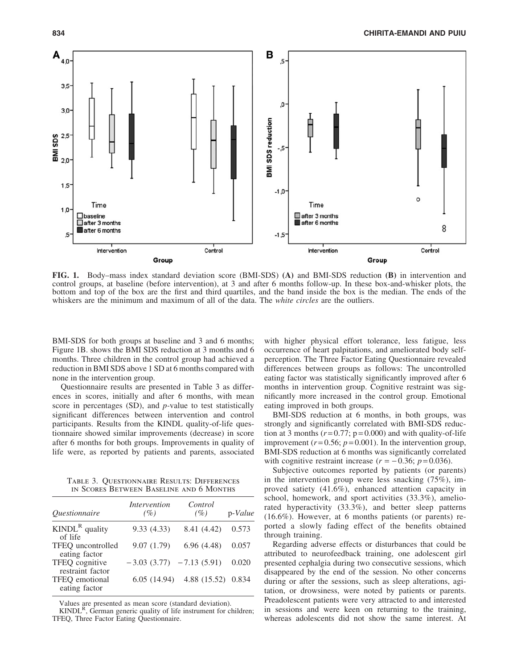

FIG. 1. Body–mass index standard deviation score (BMI-SDS) (A) and BMI-SDS reduction (B) in intervention and control groups, at baseline (before intervention), at 3 and after 6 months follow-up. In these box-and-whisker plots, the bottom and top of the box are the first and third quartiles, and the band inside the box is the median. The ends of the whiskers are the minimum and maximum of all of the data. The *white circles* are the outliers.

BMI-SDS for both groups at baseline and 3 and 6 months; Figure 1B. shows the BMI SDS reduction at 3 months and 6 months. Three children in the control group had achieved a reduction in BMI SDS above 1 SD at 6 months compared with none in the intervention group.

Questionnaire results are presented in Table 3 as differences in scores, initially and after 6 months, with mean score in percentages (SD), and *p-*value to test statistically significant differences between intervention and control participants. Results from the KINDL quality-of-life questionnaire showed similar improvements (decrease) in score after 6 months for both groups. Improvements in quality of life were, as reported by patients and parents, associated

Table 3. Questionnaire Results: Differences in Scores Between Baseline and 6 Months

| <i><u><b>Ouestionnaire</b></u></i> | Intervention<br>(%)         | Control<br>(%) | p-Value |
|------------------------------------|-----------------------------|----------------|---------|
| $KINDLR$ quality<br>of life        | 9.33(4.33)                  | 8.41 (4.42)    | 0.573   |
| TFEQ uncontrolled<br>eating factor | 9.07(1.79)                  | 6.96(4.48)     | 0.057   |
| TFEQ cognitive<br>restraint factor | $-3.03(3.77)$ $-7.13(5.91)$ |                | 0.020   |
| TFEQ emotional<br>eating factor    | 6.05(14.94)                 | 4.88 (15.52)   | 0.834   |

Values are presented as mean score (standard deviation).<br>KINDL<sup>R</sup>, German generic quality of life instrument for children; TFEQ, Three Factor Eating Questionnaire.

with higher physical effort tolerance, less fatigue, less occurrence of heart palpitations, and ameliorated body selfperception. The Three Factor Eating Questionnaire revealed differences between groups as follows: The uncontrolled eating factor was statistically significantly improved after 6 months in intervention group. Cognitive restraint was significantly more increased in the control group. Emotional eating improved in both groups.

BMI-SDS reduction at 6 months, in both groups, was strongly and significantly correlated with BMI-SDS reduction at 3 months  $(r=0.77; p=0.000)$  and with quality-of-life improvement  $(r=0.56; p=0.001)$ . In the intervention group, BMI-SDS reduction at 6 months was significantly correlated with cognitive restraint increase  $(r = -0.36; p = 0.036)$ .

Subjective outcomes reported by patients (or parents) in the intervention group were less snacking (75%), improved satiety (41.6%), enhanced attention capacity in school, homework, and sport activities (33.3%), ameliorated hyperactivity (33.3%), and better sleep patterns (16.6%). However, at 6 months patients (or parents) reported a slowly fading effect of the benefits obtained through training.

Regarding adverse effects or disturbances that could be attributed to neurofeedback training, one adolescent girl presented cephalgia during two consecutive sessions, which disappeared by the end of the session. No other concerns during or after the sessions, such as sleep alterations, agitation, or drowsiness, were noted by patients or parents. Preadolescent patients were very attracted to and interested in sessions and were keen on returning to the training, whereas adolescents did not show the same interest. At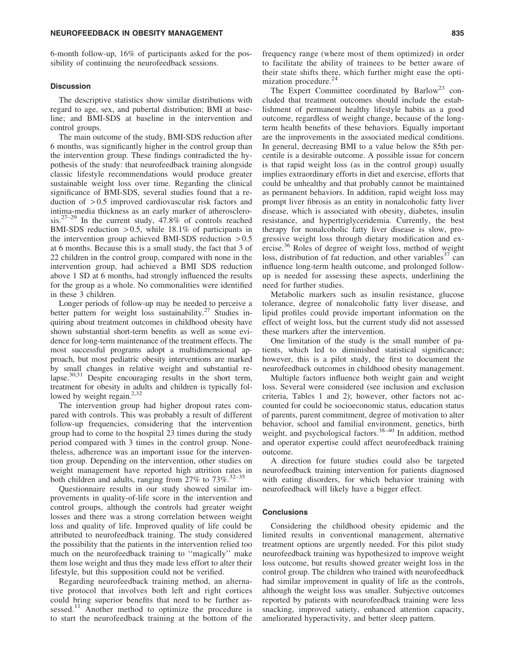#### NEUROFEEDBACK IN OBESITY MANAGEMENT **And the CONTROLL CONTROL** 835

6-month follow-up, 16% of participants asked for the possibility of continuing the neurofeedback sessions.

# **Discussion**

The descriptive statistics show similar distributions with regard to age, sex, and pubertal distribution; BMI at baseline; and BMI-SDS at baseline in the intervention and control groups.

The main outcome of the study, BMI-SDS reduction after 6 months, was significantly higher in the control group than the intervention group. These findings contradicted the hypothesis of the study: that neurofeedback training alongside classic lifestyle recommendations would produce greater sustainable weight loss over time. Regarding the clinical significance of BMI-SDS, several studies found that a reduction of > 0.5 improved cardiovascular risk factors and intima-media thickness as an early marker of atherosclerosis.27–29 In the current study, 47.8% of controls reached BMI-SDS reduction  $> 0.5$ , while 18.1% of participants in the intervention group achieved BMI-SDS reduction  $> 0.5$ at 6 months. Because this is a small study, the fact that 3 of 22 children in the control group, compared with none in the intervention group, had achieved a BMI SDS reduction above 1 SD at 6 months, had strongly influenced the results for the group as a whole. No commonalities were identified in these 3 children.

Longer periods of follow-up may be needed to perceive a better pattern for weight loss sustainability.<sup>27</sup> Studies inquiring about treatment outcomes in childhood obesity have shown substantial short-term benefits as well as some evidence for long-term maintenance of the treatment effects. The most successful programs adopt a multidimensional approach, but most pediatric obesity interventions are marked by small changes in relative weight and substantial relapse.<sup>30,31</sup> Despite encouraging results in the short term, treatment for obesity in adults and children is typically followed by weight regain.<sup>2,32</sup>

The intervention group had higher dropout rates compared with controls. This was probably a result of different follow-up frequencies, considering that the intervention group had to come to the hospital 23 times during the study period compared with 3 times in the control group. Nonetheless, adherence was an important issue for the intervention group. Depending on the intervention, other studies on weight management have reported high attrition rates in both children and adults, ranging from  $27\%$  to  $73\%$ .<sup>32–35</sup>

Questionnaire results in our study showed similar improvements in quality-of-life score in the intervention and control groups, although the controls had greater weight losses and there was a strong correlation between weight loss and quality of life. Improved quality of life could be attributed to neurofeedback training. The study considered the possibility that the patients in the intervention relied too much on the neurofeedback training to ''magically'' make them lose weight and thus they made less effort to alter their lifestyle, but this supposition could not be verified.

Regarding neurofeedback training method, an alternative protocol that involves both left and right cortices could bring superior benefits that need to be further assessed.<sup>11</sup> Another method to optimize the procedure is to start the neurofeedback training at the bottom of the

frequency range (where most of them optimized) in order to facilitate the ability of trainees to be better aware of their state shifts there, which further might ease the optimization procedure.<sup>24</sup>

The Expert Committee coordinated by Barlow<sup>23</sup> concluded that treatment outcomes should include the establishment of permanent healthy lifestyle habits as a good outcome, regardless of weight change, because of the longterm health benefits of these behaviors. Equally important are the improvements in the associated medical conditions. In general, decreasing BMI to a value below the 85th percentile is a desirable outcome. A possible issue for concern is that rapid weight loss (as in the control group) usually implies extraordinary efforts in diet and exercise, efforts that could be unhealthy and that probably cannot be maintained as permanent behaviors. In addition, rapid weight loss may prompt liver fibrosis as an entity in nonalcoholic fatty liver disease, which is associated with obesity, diabetes, insulin resistance, and hypertriglyceridemia. Currently, the best therapy for nonalcoholic fatty liver disease is slow, progressive weight loss through dietary modification and exercise.<sup>36</sup> Roles of degree of weight loss, method of weight loss, distribution of fat reduction, and other variables<sup>37</sup> can influence long-term health outcome, and prolonged followup is needed for assessing these aspects, underlining the need for further studies.

Metabolic markers such as insulin resistance, glucose tolerance, degree of nonalcoholic fatty liver disease, and lipid profiles could provide important information on the effect of weight loss, but the current study did not assessed these markers after the intervention.

One limitation of the study is the small number of patients, which led to diminished statistical significance; however, this is a pilot study, the first to document the neurofeedback outcomes in childhood obesity management.

Multiple factors influence both weight gain and weight loss. Several were considered (see inclusion and exclusion criteria, Tables 1 and 2); however, other factors not accounted for could be socioeconomic status, education status of parents, parent commitment, degree of motivation to alter behavior, school and familial environment, genetics, birth weight, and psychological factors.<sup>38-40</sup> In addition, method and operator expertise could affect neurofeedback training outcome.

A direction for future studies could also be targeted neurofeedback training intervention for patients diagnosed with eating disorders, for which behavior training with neurofeedback will likely have a bigger effect.

# **Conclusions**

Considering the childhood obesity epidemic and the limited results in conventional management, alternative treatment options are urgently needed. For this pilot study neurofeedback training was hypothesized to improve weight loss outcome, but results showed greater weight loss in the control group. The children who trained with neurofeedback had similar improvement in quality of life as the controls, although the weight loss was smaller. Subjective outcomes reported by patients with neurofeedback training were less snacking, improved satiety, enhanced attention capacity, ameliorated hyperactivity, and better sleep pattern.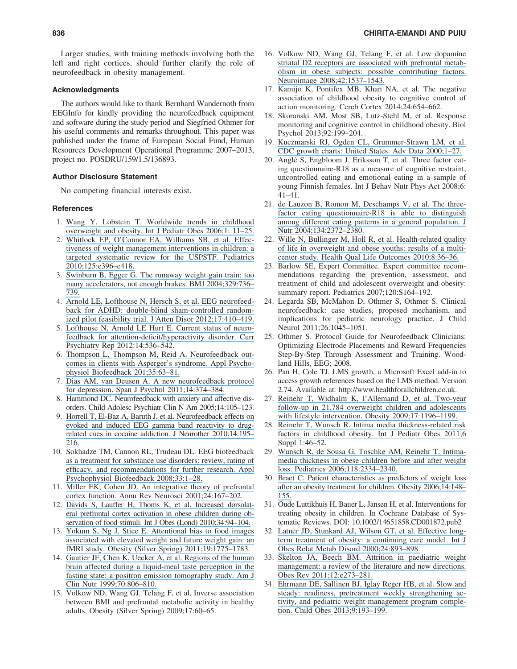Larger studies, with training methods involving both the left and right cortices, should further clarify the role of neurofeedback in obesity management.

# Acknowledgments

The authors would like to thank Bernhard Wandernoth from EEGInfo for kindly providing the neurofeedback equipment and software during the study period and Siegfried Othmer for his useful comments and remarks throughout. This paper was published under the frame of European Social Fund, Human Resources Development Operational Programme 2007–2013, project no. POSDRU/159/1.5/136893.

# Author Disclosure Statement

No competing financial interests exist.

#### **References**

- 1. [Wang Y, Lobstein T. Worldwide trends in childhood](https://www.researchgate.net/publication/230547449_Worldwide_Trends_in_Childhood_Overweight_and_Obesity?el=1_x_8&enrichId=rgreq-bf1d16f24252cdda5fc7fa58a5a82aca-XXX&enrichSource=Y292ZXJQYWdlOzI2NTM0NDY5OTtBUzo0MzAyMzA0OTUwNzYzNTJAMTQ3OTU4NjM1MTQ4Mw==) [overweight and obesity. Int J Pediatr Obes 2006;1: 11–25.](https://www.researchgate.net/publication/230547449_Worldwide_Trends_in_Childhood_Overweight_and_Obesity?el=1_x_8&enrichId=rgreq-bf1d16f24252cdda5fc7fa58a5a82aca-XXX&enrichSource=Y292ZXJQYWdlOzI2NTM0NDY5OTtBUzo0MzAyMzA0OTUwNzYzNTJAMTQ3OTU4NjM1MTQ4Mw==)
- 2. [Whitlock EP, O'Connor EA, Williams SB, et al. Effec](https://www.researchgate.net/publication/41056160_Effectiveness_of_Weight_Management_Interventions_in_Children_A_Targeted_Systematic_Review_for_the_USPSTF?el=1_x_8&enrichId=rgreq-bf1d16f24252cdda5fc7fa58a5a82aca-XXX&enrichSource=Y292ZXJQYWdlOzI2NTM0NDY5OTtBUzo0MzAyMzA0OTUwNzYzNTJAMTQ3OTU4NjM1MTQ4Mw==)[tiveness of weight management interventions in children: a](https://www.researchgate.net/publication/41056160_Effectiveness_of_Weight_Management_Interventions_in_Children_A_Targeted_Systematic_Review_for_the_USPSTF?el=1_x_8&enrichId=rgreq-bf1d16f24252cdda5fc7fa58a5a82aca-XXX&enrichSource=Y292ZXJQYWdlOzI2NTM0NDY5OTtBUzo0MzAyMzA0OTUwNzYzNTJAMTQ3OTU4NjM1MTQ4Mw==) [targeted systematic review for the USPSTF. Pediatrics](https://www.researchgate.net/publication/41056160_Effectiveness_of_Weight_Management_Interventions_in_Children_A_Targeted_Systematic_Review_for_the_USPSTF?el=1_x_8&enrichId=rgreq-bf1d16f24252cdda5fc7fa58a5a82aca-XXX&enrichSource=Y292ZXJQYWdlOzI2NTM0NDY5OTtBUzo0MzAyMzA0OTUwNzYzNTJAMTQ3OTU4NjM1MTQ4Mw==) [2010;125:e396–e418.](https://www.researchgate.net/publication/41056160_Effectiveness_of_Weight_Management_Interventions_in_Children_A_Targeted_Systematic_Review_for_the_USPSTF?el=1_x_8&enrichId=rgreq-bf1d16f24252cdda5fc7fa58a5a82aca-XXX&enrichSource=Y292ZXJQYWdlOzI2NTM0NDY5OTtBUzo0MzAyMzA0OTUwNzYzNTJAMTQ3OTU4NjM1MTQ4Mw==)
- 3. [Swinburn B, Egger G. The runaway weight gain train: too](https://www.researchgate.net/publication/8325851_The_runaway_weight_gain_train_Too_many_accelerators_not_enough_brakes?el=1_x_8&enrichId=rgreq-bf1d16f24252cdda5fc7fa58a5a82aca-XXX&enrichSource=Y292ZXJQYWdlOzI2NTM0NDY5OTtBUzo0MzAyMzA0OTUwNzYzNTJAMTQ3OTU4NjM1MTQ4Mw==) [many accelerators, not enough brakes. BMJ 2004;329:736–](https://www.researchgate.net/publication/8325851_The_runaway_weight_gain_train_Too_many_accelerators_not_enough_brakes?el=1_x_8&enrichId=rgreq-bf1d16f24252cdda5fc7fa58a5a82aca-XXX&enrichSource=Y292ZXJQYWdlOzI2NTM0NDY5OTtBUzo0MzAyMzA0OTUwNzYzNTJAMTQ3OTU4NjM1MTQ4Mw==) [739.](https://www.researchgate.net/publication/8325851_The_runaway_weight_gain_train_Too_many_accelerators_not_enough_brakes?el=1_x_8&enrichId=rgreq-bf1d16f24252cdda5fc7fa58a5a82aca-XXX&enrichSource=Y292ZXJQYWdlOzI2NTM0NDY5OTtBUzo0MzAyMzA0OTUwNzYzNTJAMTQ3OTU4NjM1MTQ4Mw==)
- 4. [Arnold LE, Lofthouse N, Hersch S, et al. EEG neurofeed](https://www.researchgate.net/publication/225056569_EEG_Neurofeedback_for_ADHD_Double-Blind_Sham-Controlled_Randomized_Pilot_Feasibility_Trial?el=1_x_8&enrichId=rgreq-bf1d16f24252cdda5fc7fa58a5a82aca-XXX&enrichSource=Y292ZXJQYWdlOzI2NTM0NDY5OTtBUzo0MzAyMzA0OTUwNzYzNTJAMTQ3OTU4NjM1MTQ4Mw==)[back for ADHD: double-blind sham-controlled random](https://www.researchgate.net/publication/225056569_EEG_Neurofeedback_for_ADHD_Double-Blind_Sham-Controlled_Randomized_Pilot_Feasibility_Trial?el=1_x_8&enrichId=rgreq-bf1d16f24252cdda5fc7fa58a5a82aca-XXX&enrichSource=Y292ZXJQYWdlOzI2NTM0NDY5OTtBUzo0MzAyMzA0OTUwNzYzNTJAMTQ3OTU4NjM1MTQ4Mw==)[ized pilot feasibility trial. J Atten Disor 2012;17:410–419.](https://www.researchgate.net/publication/225056569_EEG_Neurofeedback_for_ADHD_Double-Blind_Sham-Controlled_Randomized_Pilot_Feasibility_Trial?el=1_x_8&enrichId=rgreq-bf1d16f24252cdda5fc7fa58a5a82aca-XXX&enrichSource=Y292ZXJQYWdlOzI2NTM0NDY5OTtBUzo0MzAyMzA0OTUwNzYzNTJAMTQ3OTU4NjM1MTQ4Mw==)
- 5. [Lofthouse N, Arnold LE Hurt E. Current status of neuro](https://www.researchgate.net/publication/230666310_Current_Status_of_Neurofeedback_for_Attention-DeficitHyperactivity_Disorder?el=1_x_8&enrichId=rgreq-bf1d16f24252cdda5fc7fa58a5a82aca-XXX&enrichSource=Y292ZXJQYWdlOzI2NTM0NDY5OTtBUzo0MzAyMzA0OTUwNzYzNTJAMTQ3OTU4NjM1MTQ4Mw==)[feedback for attention-deficit/hyperactivity disorder. Curr](https://www.researchgate.net/publication/230666310_Current_Status_of_Neurofeedback_for_Attention-DeficitHyperactivity_Disorder?el=1_x_8&enrichId=rgreq-bf1d16f24252cdda5fc7fa58a5a82aca-XXX&enrichSource=Y292ZXJQYWdlOzI2NTM0NDY5OTtBUzo0MzAyMzA0OTUwNzYzNTJAMTQ3OTU4NjM1MTQ4Mw==) [Psychiatry Rep 2012:14:536–542.](https://www.researchgate.net/publication/230666310_Current_Status_of_Neurofeedback_for_Attention-DeficitHyperactivity_Disorder?el=1_x_8&enrichId=rgreq-bf1d16f24252cdda5fc7fa58a5a82aca-XXX&enrichSource=Y292ZXJQYWdlOzI2NTM0NDY5OTtBUzo0MzAyMzA0OTUwNzYzNTJAMTQ3OTU4NjM1MTQ4Mw==)
- 6. [Thompson L, Thompson M, Reid A. Neurofeedback out](https://www.researchgate.net/publication/38084564_Neurofeedback_Outcomes_in_Clients_with_Asperger)[comes in clients with Asperger's syndrome. Appl Psycho](https://www.researchgate.net/publication/38084564_Neurofeedback_Outcomes_in_Clients_with_Asperger)[physiol Biofeedback 201;35:63–81.](https://www.researchgate.net/publication/38084564_Neurofeedback_Outcomes_in_Clients_with_Asperger)
- 7. [Dias AM, van Deusen A. A new neurofeedback protocol](https://www.researchgate.net/publication/51122858_A_New_Neurofeedback_Protocol_for_Depression?el=1_x_8&enrichId=rgreq-bf1d16f24252cdda5fc7fa58a5a82aca-XXX&enrichSource=Y292ZXJQYWdlOzI2NTM0NDY5OTtBUzo0MzAyMzA0OTUwNzYzNTJAMTQ3OTU4NjM1MTQ4Mw==) [for depression. Span J Psychol 2011;14:374–384.](https://www.researchgate.net/publication/51122858_A_New_Neurofeedback_Protocol_for_Depression?el=1_x_8&enrichId=rgreq-bf1d16f24252cdda5fc7fa58a5a82aca-XXX&enrichSource=Y292ZXJQYWdlOzI2NTM0NDY5OTtBUzo0MzAyMzA0OTUwNzYzNTJAMTQ3OTU4NjM1MTQ4Mw==)
- 8. [Hammond DC. Neurofeedback with anxiety and affective dis](https://www.researchgate.net/publication/8163422_Neurofeedback_with_anxiety_and_affective_disorders?el=1_x_8&enrichId=rgreq-bf1d16f24252cdda5fc7fa58a5a82aca-XXX&enrichSource=Y292ZXJQYWdlOzI2NTM0NDY5OTtBUzo0MzAyMzA0OTUwNzYzNTJAMTQ3OTU4NjM1MTQ4Mw==)[orders. Child Adolesc Psychiatr Clin N Am 2005;14:105–123.](https://www.researchgate.net/publication/8163422_Neurofeedback_with_anxiety_and_affective_disorders?el=1_x_8&enrichId=rgreq-bf1d16f24252cdda5fc7fa58a5a82aca-XXX&enrichSource=Y292ZXJQYWdlOzI2NTM0NDY5OTtBUzo0MzAyMzA0OTUwNzYzNTJAMTQ3OTU4NjM1MTQ4Mw==)
- 9. [Horrell T, El-Baz A, Baruth J, et al. Neurofeedback effects on](https://www.researchgate.net/publication/47545515_Neurofeedback_Effects_on_Evoked_and_Induced_EEG_Gamma_Band_Reactivity_to_Drug-Related_Cues_in_Cocaine_Addiction?el=1_x_8&enrichId=rgreq-bf1d16f24252cdda5fc7fa58a5a82aca-XXX&enrichSource=Y292ZXJQYWdlOzI2NTM0NDY5OTtBUzo0MzAyMzA0OTUwNzYzNTJAMTQ3OTU4NjM1MTQ4Mw==) [evoked and induced EEG gamma band reactivity to drug](https://www.researchgate.net/publication/47545515_Neurofeedback_Effects_on_Evoked_and_Induced_EEG_Gamma_Band_Reactivity_to_Drug-Related_Cues_in_Cocaine_Addiction?el=1_x_8&enrichId=rgreq-bf1d16f24252cdda5fc7fa58a5a82aca-XXX&enrichSource=Y292ZXJQYWdlOzI2NTM0NDY5OTtBUzo0MzAyMzA0OTUwNzYzNTJAMTQ3OTU4NjM1MTQ4Mw==)[related cues in cocaine addiction. J Neurother 2010;14:195–](https://www.researchgate.net/publication/47545515_Neurofeedback_Effects_on_Evoked_and_Induced_EEG_Gamma_Band_Reactivity_to_Drug-Related_Cues_in_Cocaine_Addiction?el=1_x_8&enrichId=rgreq-bf1d16f24252cdda5fc7fa58a5a82aca-XXX&enrichSource=Y292ZXJQYWdlOzI2NTM0NDY5OTtBUzo0MzAyMzA0OTUwNzYzNTJAMTQ3OTU4NjM1MTQ4Mw==) [216.](https://www.researchgate.net/publication/47545515_Neurofeedback_Effects_on_Evoked_and_Induced_EEG_Gamma_Band_Reactivity_to_Drug-Related_Cues_in_Cocaine_Addiction?el=1_x_8&enrichId=rgreq-bf1d16f24252cdda5fc7fa58a5a82aca-XXX&enrichSource=Y292ZXJQYWdlOzI2NTM0NDY5OTtBUzo0MzAyMzA0OTUwNzYzNTJAMTQ3OTU4NjM1MTQ4Mw==)
- 10. [Sokhadze TM, Cannon RL, Trudeau DL. EEG biofeedback](https://www.researchgate.net/publication/5636405_EEG_Biofeedback_as_a_Treatment_for_Substance_Use_Disorders_Review_Rating_of_Efficacy_and_Recommendations_for_Further_Research?el=1_x_8&enrichId=rgreq-bf1d16f24252cdda5fc7fa58a5a82aca-XXX&enrichSource=Y292ZXJQYWdlOzI2NTM0NDY5OTtBUzo0MzAyMzA0OTUwNzYzNTJAMTQ3OTU4NjM1MTQ4Mw==) [as a treatment for substance use disorders: review, rating of](https://www.researchgate.net/publication/5636405_EEG_Biofeedback_as_a_Treatment_for_Substance_Use_Disorders_Review_Rating_of_Efficacy_and_Recommendations_for_Further_Research?el=1_x_8&enrichId=rgreq-bf1d16f24252cdda5fc7fa58a5a82aca-XXX&enrichSource=Y292ZXJQYWdlOzI2NTM0NDY5OTtBUzo0MzAyMzA0OTUwNzYzNTJAMTQ3OTU4NjM1MTQ4Mw==) [efficacy, and recommendations for further research. Appl](https://www.researchgate.net/publication/5636405_EEG_Biofeedback_as_a_Treatment_for_Substance_Use_Disorders_Review_Rating_of_Efficacy_and_Recommendations_for_Further_Research?el=1_x_8&enrichId=rgreq-bf1d16f24252cdda5fc7fa58a5a82aca-XXX&enrichSource=Y292ZXJQYWdlOzI2NTM0NDY5OTtBUzo0MzAyMzA0OTUwNzYzNTJAMTQ3OTU4NjM1MTQ4Mw==) [Psychophysiol Biofeedback 2008;33:1–28.](https://www.researchgate.net/publication/5636405_EEG_Biofeedback_as_a_Treatment_for_Substance_Use_Disorders_Review_Rating_of_Efficacy_and_Recommendations_for_Further_Research?el=1_x_8&enrichId=rgreq-bf1d16f24252cdda5fc7fa58a5a82aca-XXX&enrichSource=Y292ZXJQYWdlOzI2NTM0NDY5OTtBUzo0MzAyMzA0OTUwNzYzNTJAMTQ3OTU4NjM1MTQ4Mw==)
- 11. [Miller EK, Cohen JD. An integrative theory of prefrontal](https://www.researchgate.net/publication/12050870_An_integrative_theory_of_prefrontal_cortex_function?el=1_x_8&enrichId=rgreq-bf1d16f24252cdda5fc7fa58a5a82aca-XXX&enrichSource=Y292ZXJQYWdlOzI2NTM0NDY5OTtBUzo0MzAyMzA0OTUwNzYzNTJAMTQ3OTU4NjM1MTQ4Mw==) [cortex function. Annu Rev Neurosci 2001;24:167–202.](https://www.researchgate.net/publication/12050870_An_integrative_theory_of_prefrontal_cortex_function?el=1_x_8&enrichId=rgreq-bf1d16f24252cdda5fc7fa58a5a82aca-XXX&enrichSource=Y292ZXJQYWdlOzI2NTM0NDY5OTtBUzo0MzAyMzA0OTUwNzYzNTJAMTQ3OTU4NjM1MTQ4Mw==)
- 12. [Davids S, Lauffer H, Thoms K, et al. Increased dorsolat](https://www.researchgate.net/publication/26873259_Increased_dorsolateral_prefrontal_cortex_activation_in_obese_children_during_observation_of_food_stimuli?el=1_x_8&enrichId=rgreq-bf1d16f24252cdda5fc7fa58a5a82aca-XXX&enrichSource=Y292ZXJQYWdlOzI2NTM0NDY5OTtBUzo0MzAyMzA0OTUwNzYzNTJAMTQ3OTU4NjM1MTQ4Mw==)[eral prefrontal cortex activation in obese children during ob](https://www.researchgate.net/publication/26873259_Increased_dorsolateral_prefrontal_cortex_activation_in_obese_children_during_observation_of_food_stimuli?el=1_x_8&enrichId=rgreq-bf1d16f24252cdda5fc7fa58a5a82aca-XXX&enrichSource=Y292ZXJQYWdlOzI2NTM0NDY5OTtBUzo0MzAyMzA0OTUwNzYzNTJAMTQ3OTU4NjM1MTQ4Mw==)[servation of food stimuli. Int J Obes \(Lond\) 2010;34:94–104.](https://www.researchgate.net/publication/26873259_Increased_dorsolateral_prefrontal_cortex_activation_in_obese_children_during_observation_of_food_stimuli?el=1_x_8&enrichId=rgreq-bf1d16f24252cdda5fc7fa58a5a82aca-XXX&enrichSource=Y292ZXJQYWdlOzI2NTM0NDY5OTtBUzo0MzAyMzA0OTUwNzYzNTJAMTQ3OTU4NjM1MTQ4Mw==)
- 13. [Yokum S, Ng J, Stice E. Attentional bias to food images](https://www.researchgate.net/publication/51226763_Attentional_Bias_to_Food_Images_Associated_With_Elevated_Weight_and_Future_Weight_Gain_An_fMRI_Study?el=1_x_8&enrichId=rgreq-bf1d16f24252cdda5fc7fa58a5a82aca-XXX&enrichSource=Y292ZXJQYWdlOzI2NTM0NDY5OTtBUzo0MzAyMzA0OTUwNzYzNTJAMTQ3OTU4NjM1MTQ4Mw==) [associated with elevated weight and future weight gain: an](https://www.researchgate.net/publication/51226763_Attentional_Bias_to_Food_Images_Associated_With_Elevated_Weight_and_Future_Weight_Gain_An_fMRI_Study?el=1_x_8&enrichId=rgreq-bf1d16f24252cdda5fc7fa58a5a82aca-XXX&enrichSource=Y292ZXJQYWdlOzI2NTM0NDY5OTtBUzo0MzAyMzA0OTUwNzYzNTJAMTQ3OTU4NjM1MTQ4Mw==) [fMRI study. Obesity \(Silver Spring\) 2011;19:1775–1783.](https://www.researchgate.net/publication/51226763_Attentional_Bias_to_Food_Images_Associated_With_Elevated_Weight_and_Future_Weight_Gain_An_fMRI_Study?el=1_x_8&enrichId=rgreq-bf1d16f24252cdda5fc7fa58a5a82aca-XXX&enrichSource=Y292ZXJQYWdlOzI2NTM0NDY5OTtBUzo0MzAyMzA0OTUwNzYzNTJAMTQ3OTU4NjM1MTQ4Mw==)
- 14. [Gautier JF, Chen K, Uecker A, et al. Regions of the human](https://www.researchgate.net/publication/12760455_Regions_of_the_human_brain_affected_during_a_liquid-meal_taste_perception_in_the_fasting_state_A_positron_emission_tomography_study?el=1_x_8&enrichId=rgreq-bf1d16f24252cdda5fc7fa58a5a82aca-XXX&enrichSource=Y292ZXJQYWdlOzI2NTM0NDY5OTtBUzo0MzAyMzA0OTUwNzYzNTJAMTQ3OTU4NjM1MTQ4Mw==) [brain affected during a liquid-meal taste perception in the](https://www.researchgate.net/publication/12760455_Regions_of_the_human_brain_affected_during_a_liquid-meal_taste_perception_in_the_fasting_state_A_positron_emission_tomography_study?el=1_x_8&enrichId=rgreq-bf1d16f24252cdda5fc7fa58a5a82aca-XXX&enrichSource=Y292ZXJQYWdlOzI2NTM0NDY5OTtBUzo0MzAyMzA0OTUwNzYzNTJAMTQ3OTU4NjM1MTQ4Mw==) [fasting state: a positron emission tomography study. Am J](https://www.researchgate.net/publication/12760455_Regions_of_the_human_brain_affected_during_a_liquid-meal_taste_perception_in_the_fasting_state_A_positron_emission_tomography_study?el=1_x_8&enrichId=rgreq-bf1d16f24252cdda5fc7fa58a5a82aca-XXX&enrichSource=Y292ZXJQYWdlOzI2NTM0NDY5OTtBUzo0MzAyMzA0OTUwNzYzNTJAMTQ3OTU4NjM1MTQ4Mw==) [Clin Nutr 1999;70:806–810.](https://www.researchgate.net/publication/12760455_Regions_of_the_human_brain_affected_during_a_liquid-meal_taste_perception_in_the_fasting_state_A_positron_emission_tomography_study?el=1_x_8&enrichId=rgreq-bf1d16f24252cdda5fc7fa58a5a82aca-XXX&enrichSource=Y292ZXJQYWdlOzI2NTM0NDY5OTtBUzo0MzAyMzA0OTUwNzYzNTJAMTQ3OTU4NjM1MTQ4Mw==)
- 15. Volkow ND, Wang GJ, Telang F, et al. Inverse association between BMI and prefrontal metabolic activity in healthy adults. Obesity (Silver Spring) 2009;17:60–65.
- 16. [Volkow ND, Wang GJ, Telang F, et al. Low dopamine](https://www.researchgate.net/publication/5254191_Low_Dopamine_Striatal_D2_Receptors_are_Associated_with_Prefrontal_Metabolism_in_Obese_Subjects_Possible_Contributing_Factors?el=1_x_8&enrichId=rgreq-bf1d16f24252cdda5fc7fa58a5a82aca-XXX&enrichSource=Y292ZXJQYWdlOzI2NTM0NDY5OTtBUzo0MzAyMzA0OTUwNzYzNTJAMTQ3OTU4NjM1MTQ4Mw==) [striatal D2 receptors are associated with prefrontal metab](https://www.researchgate.net/publication/5254191_Low_Dopamine_Striatal_D2_Receptors_are_Associated_with_Prefrontal_Metabolism_in_Obese_Subjects_Possible_Contributing_Factors?el=1_x_8&enrichId=rgreq-bf1d16f24252cdda5fc7fa58a5a82aca-XXX&enrichSource=Y292ZXJQYWdlOzI2NTM0NDY5OTtBUzo0MzAyMzA0OTUwNzYzNTJAMTQ3OTU4NjM1MTQ4Mw==)[olism in obese subjects: possible contributing factors.](https://www.researchgate.net/publication/5254191_Low_Dopamine_Striatal_D2_Receptors_are_Associated_with_Prefrontal_Metabolism_in_Obese_Subjects_Possible_Contributing_Factors?el=1_x_8&enrichId=rgreq-bf1d16f24252cdda5fc7fa58a5a82aca-XXX&enrichSource=Y292ZXJQYWdlOzI2NTM0NDY5OTtBUzo0MzAyMzA0OTUwNzYzNTJAMTQ3OTU4NjM1MTQ4Mw==) [Neuroimage 2008;42:1537–1543.](https://www.researchgate.net/publication/5254191_Low_Dopamine_Striatal_D2_Receptors_are_Associated_with_Prefrontal_Metabolism_in_Obese_Subjects_Possible_Contributing_Factors?el=1_x_8&enrichId=rgreq-bf1d16f24252cdda5fc7fa58a5a82aca-XXX&enrichSource=Y292ZXJQYWdlOzI2NTM0NDY5OTtBUzo0MzAyMzA0OTUwNzYzNTJAMTQ3OTU4NjM1MTQ4Mw==)
- 17. Kamijo K, Pontifex MB, Khan NA, et al. The negative association of childhood obesity to cognitive control of action monitoring. Cereb Cortex 2014;24:654–662.
- 18. Skoranski AM, Most SB, Lutz-Stehl M, et al. Response monitoring and cognitive control in childhood obesity. Biol Psychol 2013;92:199–204.
- 19. [Kuczmarski RJ, Ogden CL, Grummer-Strawn LM, et al.](https://www.researchgate.net/publication/12148329_CDC_growth_charts_United_States?el=1_x_8&enrichId=rgreq-bf1d16f24252cdda5fc7fa58a5a82aca-XXX&enrichSource=Y292ZXJQYWdlOzI2NTM0NDY5OTtBUzo0MzAyMzA0OTUwNzYzNTJAMTQ3OTU4NjM1MTQ4Mw==) [CDC growth charts: United States. Adv Data 2000;1–27.](https://www.researchgate.net/publication/12148329_CDC_growth_charts_United_States?el=1_x_8&enrichId=rgreq-bf1d16f24252cdda5fc7fa58a5a82aca-XXX&enrichSource=Y292ZXJQYWdlOzI2NTM0NDY5OTtBUzo0MzAyMzA0OTUwNzYzNTJAMTQ3OTU4NjM1MTQ4Mw==)
- 20. Anglé S, Engbloom J, Eriksson T, et al. Three factor eating questionnaire-R18 as a measure of cognitive restraint, uncontrolled eating and emotional eating in a sample of young Finnish females. Int J Behav Nutr Phys Act 2008;6: 41–41.
- 21. [de Lauzon B, Romon M, Deschamps V, et al. The three](https://www.researchgate.net/publication/8378116_The_Three-Factor_Eating_Questionnaire-R18_Is_Able_to_Distinguish_among_Different_Eating_Patterns_in_a_General_Population?el=1_x_8&enrichId=rgreq-bf1d16f24252cdda5fc7fa58a5a82aca-XXX&enrichSource=Y292ZXJQYWdlOzI2NTM0NDY5OTtBUzo0MzAyMzA0OTUwNzYzNTJAMTQ3OTU4NjM1MTQ4Mw==)[factor eating questionnaire-R18 is able to distinguish](https://www.researchgate.net/publication/8378116_The_Three-Factor_Eating_Questionnaire-R18_Is_Able_to_Distinguish_among_Different_Eating_Patterns_in_a_General_Population?el=1_x_8&enrichId=rgreq-bf1d16f24252cdda5fc7fa58a5a82aca-XXX&enrichSource=Y292ZXJQYWdlOzI2NTM0NDY5OTtBUzo0MzAyMzA0OTUwNzYzNTJAMTQ3OTU4NjM1MTQ4Mw==) [among different eating patterns in a general population. J](https://www.researchgate.net/publication/8378116_The_Three-Factor_Eating_Questionnaire-R18_Is_Able_to_Distinguish_among_Different_Eating_Patterns_in_a_General_Population?el=1_x_8&enrichId=rgreq-bf1d16f24252cdda5fc7fa58a5a82aca-XXX&enrichSource=Y292ZXJQYWdlOzI2NTM0NDY5OTtBUzo0MzAyMzA0OTUwNzYzNTJAMTQ3OTU4NjM1MTQ4Mw==) [Nutr 2004;134:2372–2380.](https://www.researchgate.net/publication/8378116_The_Three-Factor_Eating_Questionnaire-R18_Is_Able_to_Distinguish_among_Different_Eating_Patterns_in_a_General_Population?el=1_x_8&enrichId=rgreq-bf1d16f24252cdda5fc7fa58a5a82aca-XXX&enrichSource=Y292ZXJQYWdlOzI2NTM0NDY5OTtBUzo0MzAyMzA0OTUwNzYzNTJAMTQ3OTU4NjM1MTQ4Mw==)
- 22. [Wille N, Bullinger M, Holl R, et al. Health-related quality](https://www.researchgate.net/publication/43072633_Health-related_quality_of_life_in_overweight_and_obese_youths_Results_of_a_multicenter_study?el=1_x_8&enrichId=rgreq-bf1d16f24252cdda5fc7fa58a5a82aca-XXX&enrichSource=Y292ZXJQYWdlOzI2NTM0NDY5OTtBUzo0MzAyMzA0OTUwNzYzNTJAMTQ3OTU4NjM1MTQ4Mw==) [of life in overweight and obese youths: results of a multi](https://www.researchgate.net/publication/43072633_Health-related_quality_of_life_in_overweight_and_obese_youths_Results_of_a_multicenter_study?el=1_x_8&enrichId=rgreq-bf1d16f24252cdda5fc7fa58a5a82aca-XXX&enrichSource=Y292ZXJQYWdlOzI2NTM0NDY5OTtBUzo0MzAyMzA0OTUwNzYzNTJAMTQ3OTU4NjM1MTQ4Mw==)[center study. Health Qual Life Outcomes 2010;8:36–36.](https://www.researchgate.net/publication/43072633_Health-related_quality_of_life_in_overweight_and_obese_youths_Results_of_a_multicenter_study?el=1_x_8&enrichId=rgreq-bf1d16f24252cdda5fc7fa58a5a82aca-XXX&enrichSource=Y292ZXJQYWdlOzI2NTM0NDY5OTtBUzo0MzAyMzA0OTUwNzYzNTJAMTQ3OTU4NjM1MTQ4Mw==)
- 23. Barlow SE, Expert Committee. Expert committee recommendations regarding the prevention, assessment, and treatment of child and adolescent overweight and obesity: summary report. Pediatrics 2007;120:S164–192.
- 24. Legarda SB, McMahon D, Othmer S, Othmer S. Clinical neurofeedback: case studies, proposed mechanism, and implications for pediatric neurology practice. J Child Neurol 2011;26:1045–1051.
- 25. Othmer S. Protocol Guide for Neurofeedback Clinicians: Optimizing Electrode Placements and Reward Frequencies Step-By-Step Through Assessment and Training. Woodland Hills, EEG; 2008.
- 26. Pan H, Cole TJ. LMS growth, a Microsoft Excel add-in to access growth references based on the LMS method. Version 2.74. Available at: http://www.healthforallchildren.co.uk.
- 27. [Reinehr T, Widhalm K, l'Allemand D, et al. Two-year](https://www.researchgate.net/publication/26654333_Two-year_Follow-up_in_21784_Overweight_Children_and_Adolescents_With_Lifestyle_Intervention?el=1_x_8&enrichId=rgreq-bf1d16f24252cdda5fc7fa58a5a82aca-XXX&enrichSource=Y292ZXJQYWdlOzI2NTM0NDY5OTtBUzo0MzAyMzA0OTUwNzYzNTJAMTQ3OTU4NjM1MTQ4Mw==) [follow-up in 21,784 overweight children and adolescents](https://www.researchgate.net/publication/26654333_Two-year_Follow-up_in_21784_Overweight_Children_and_Adolescents_With_Lifestyle_Intervention?el=1_x_8&enrichId=rgreq-bf1d16f24252cdda5fc7fa58a5a82aca-XXX&enrichSource=Y292ZXJQYWdlOzI2NTM0NDY5OTtBUzo0MzAyMzA0OTUwNzYzNTJAMTQ3OTU4NjM1MTQ4Mw==) [with lifestyle intervention. Obesity 2009;17:1196–1199.](https://www.researchgate.net/publication/26654333_Two-year_Follow-up_in_21784_Overweight_Children_and_Adolescents_With_Lifestyle_Intervention?el=1_x_8&enrichId=rgreq-bf1d16f24252cdda5fc7fa58a5a82aca-XXX&enrichSource=Y292ZXJQYWdlOzI2NTM0NDY5OTtBUzo0MzAyMzA0OTUwNzYzNTJAMTQ3OTU4NjM1MTQ4Mw==)
- 28. [Reinehr T, Wunsch R. Intima media thickness-related risk](https://www.researchgate.net/publication/51637378_Intima_media_thickness-related_risk_factors_in_childhood_obesity?el=1_x_8&enrichId=rgreq-bf1d16f24252cdda5fc7fa58a5a82aca-XXX&enrichSource=Y292ZXJQYWdlOzI2NTM0NDY5OTtBUzo0MzAyMzA0OTUwNzYzNTJAMTQ3OTU4NjM1MTQ4Mw==) [factors in childhood obesity. Int J Pediatr Obes 2011;6](https://www.researchgate.net/publication/51637378_Intima_media_thickness-related_risk_factors_in_childhood_obesity?el=1_x_8&enrichId=rgreq-bf1d16f24252cdda5fc7fa58a5a82aca-XXX&enrichSource=Y292ZXJQYWdlOzI2NTM0NDY5OTtBUzo0MzAyMzA0OTUwNzYzNTJAMTQ3OTU4NjM1MTQ4Mw==) Suppl 1:46–52.
- 29. [Wunsch R, de Sousa G, Toschke AM, Reinehr T. Intima](https://www.researchgate.net/publication/6655544_Intima-Media_Thickness_in_Obese_Children_Before_and_After_Weight_Loss?el=1_x_8&enrichId=rgreq-bf1d16f24252cdda5fc7fa58a5a82aca-XXX&enrichSource=Y292ZXJQYWdlOzI2NTM0NDY5OTtBUzo0MzAyMzA0OTUwNzYzNTJAMTQ3OTU4NjM1MTQ4Mw==)[media thickness in obese children before and after weight](https://www.researchgate.net/publication/6655544_Intima-Media_Thickness_in_Obese_Children_Before_and_After_Weight_Loss?el=1_x_8&enrichId=rgreq-bf1d16f24252cdda5fc7fa58a5a82aca-XXX&enrichSource=Y292ZXJQYWdlOzI2NTM0NDY5OTtBUzo0MzAyMzA0OTUwNzYzNTJAMTQ3OTU4NjM1MTQ4Mw==) [loss. Pediatrics 2006;118:2334–2340.](https://www.researchgate.net/publication/6655544_Intima-Media_Thickness_in_Obese_Children_Before_and_After_Weight_Loss?el=1_x_8&enrichId=rgreq-bf1d16f24252cdda5fc7fa58a5a82aca-XXX&enrichSource=Y292ZXJQYWdlOzI2NTM0NDY5OTtBUzo0MzAyMzA0OTUwNzYzNTJAMTQ3OTU4NjM1MTQ4Mw==)
- 30. [Braet C. Patient characteristics as predictors of weight loss](https://www.researchgate.net/publication/7284396_Patient_Characteristics_as_Predictors_of_Weight_Loss_after_an_Obesity_Treatment_for_Children?el=1_x_8&enrichId=rgreq-bf1d16f24252cdda5fc7fa58a5a82aca-XXX&enrichSource=Y292ZXJQYWdlOzI2NTM0NDY5OTtBUzo0MzAyMzA0OTUwNzYzNTJAMTQ3OTU4NjM1MTQ4Mw==) [after an obesity treatment for children. Obesity 2006;14:148–](https://www.researchgate.net/publication/7284396_Patient_Characteristics_as_Predictors_of_Weight_Loss_after_an_Obesity_Treatment_for_Children?el=1_x_8&enrichId=rgreq-bf1d16f24252cdda5fc7fa58a5a82aca-XXX&enrichSource=Y292ZXJQYWdlOzI2NTM0NDY5OTtBUzo0MzAyMzA0OTUwNzYzNTJAMTQ3OTU4NjM1MTQ4Mw==) [155.](https://www.researchgate.net/publication/7284396_Patient_Characteristics_as_Predictors_of_Weight_Loss_after_an_Obesity_Treatment_for_Children?el=1_x_8&enrichId=rgreq-bf1d16f24252cdda5fc7fa58a5a82aca-XXX&enrichSource=Y292ZXJQYWdlOzI2NTM0NDY5OTtBUzo0MzAyMzA0OTUwNzYzNTJAMTQ3OTU4NjM1MTQ4Mw==)
- 31. Oude Luttikhuis H, Bauer L, Jansen H, et al. Interventions for treating obesity in children. In Cochrane Database of Systematic Reviews. DOI: 10.1002/14651858.CD001872.pub2
- 32. [Latner JD, Stunkard AJ, Wilson GT, et al. Effective long](https://www.researchgate.net/publication/12400482_Effective_long-term_treatment_of_obesity_A_continuing_care_model?el=1_x_8&enrichId=rgreq-bf1d16f24252cdda5fc7fa58a5a82aca-XXX&enrichSource=Y292ZXJQYWdlOzI2NTM0NDY5OTtBUzo0MzAyMzA0OTUwNzYzNTJAMTQ3OTU4NjM1MTQ4Mw==)[term treatment of obesity: a continuing care model. Int J](https://www.researchgate.net/publication/12400482_Effective_long-term_treatment_of_obesity_A_continuing_care_model?el=1_x_8&enrichId=rgreq-bf1d16f24252cdda5fc7fa58a5a82aca-XXX&enrichSource=Y292ZXJQYWdlOzI2NTM0NDY5OTtBUzo0MzAyMzA0OTUwNzYzNTJAMTQ3OTU4NjM1MTQ4Mw==) [Obes Relat Metab Disord 2000;24:893–898.](https://www.researchgate.net/publication/12400482_Effective_long-term_treatment_of_obesity_A_continuing_care_model?el=1_x_8&enrichId=rgreq-bf1d16f24252cdda5fc7fa58a5a82aca-XXX&enrichSource=Y292ZXJQYWdlOzI2NTM0NDY5OTtBUzo0MzAyMzA0OTUwNzYzNTJAMTQ3OTU4NjM1MTQ4Mw==)
- 33. [Skelton JA, Beech BM. Attrition in paediatric weight](https://www.researchgate.net/publication/46819450_Attrition_in_paediatric_weight_management_A_review_of_the_literature_and_new_directions?el=1_x_8&enrichId=rgreq-bf1d16f24252cdda5fc7fa58a5a82aca-XXX&enrichSource=Y292ZXJQYWdlOzI2NTM0NDY5OTtBUzo0MzAyMzA0OTUwNzYzNTJAMTQ3OTU4NjM1MTQ4Mw==) [management: a review of the literature and new directions.](https://www.researchgate.net/publication/46819450_Attrition_in_paediatric_weight_management_A_review_of_the_literature_and_new_directions?el=1_x_8&enrichId=rgreq-bf1d16f24252cdda5fc7fa58a5a82aca-XXX&enrichSource=Y292ZXJQYWdlOzI2NTM0NDY5OTtBUzo0MzAyMzA0OTUwNzYzNTJAMTQ3OTU4NjM1MTQ4Mw==) [Obes Rev 2011;12:e273–281.](https://www.researchgate.net/publication/46819450_Attrition_in_paediatric_weight_management_A_review_of_the_literature_and_new_directions?el=1_x_8&enrichId=rgreq-bf1d16f24252cdda5fc7fa58a5a82aca-XXX&enrichSource=Y292ZXJQYWdlOzI2NTM0NDY5OTtBUzo0MzAyMzA0OTUwNzYzNTJAMTQ3OTU4NjM1MTQ4Mw==)
- 34. [Ehrmann DE, Sallinen BJ, Iglay Reger HB, et al. Slow and](https://www.researchgate.net/publication/236601851_Slow_and_Steady_Readiness_Pretreatment_Weekly_Strengthening_Activity_and_Pediatric_Weight_Management_Program_Completion?el=1_x_8&enrichId=rgreq-bf1d16f24252cdda5fc7fa58a5a82aca-XXX&enrichSource=Y292ZXJQYWdlOzI2NTM0NDY5OTtBUzo0MzAyMzA0OTUwNzYzNTJAMTQ3OTU4NjM1MTQ4Mw==) [steady: readiness, pretreatment weekly strengthening ac](https://www.researchgate.net/publication/236601851_Slow_and_Steady_Readiness_Pretreatment_Weekly_Strengthening_Activity_and_Pediatric_Weight_Management_Program_Completion?el=1_x_8&enrichId=rgreq-bf1d16f24252cdda5fc7fa58a5a82aca-XXX&enrichSource=Y292ZXJQYWdlOzI2NTM0NDY5OTtBUzo0MzAyMzA0OTUwNzYzNTJAMTQ3OTU4NjM1MTQ4Mw==)[tivity, and pediatric weight management program comple](https://www.researchgate.net/publication/236601851_Slow_and_Steady_Readiness_Pretreatment_Weekly_Strengthening_Activity_and_Pediatric_Weight_Management_Program_Completion?el=1_x_8&enrichId=rgreq-bf1d16f24252cdda5fc7fa58a5a82aca-XXX&enrichSource=Y292ZXJQYWdlOzI2NTM0NDY5OTtBUzo0MzAyMzA0OTUwNzYzNTJAMTQ3OTU4NjM1MTQ4Mw==)[tion. Child Obes 2013;9:193–199.](https://www.researchgate.net/publication/236601851_Slow_and_Steady_Readiness_Pretreatment_Weekly_Strengthening_Activity_and_Pediatric_Weight_Management_Program_Completion?el=1_x_8&enrichId=rgreq-bf1d16f24252cdda5fc7fa58a5a82aca-XXX&enrichSource=Y292ZXJQYWdlOzI2NTM0NDY5OTtBUzo0MzAyMzA0OTUwNzYzNTJAMTQ3OTU4NjM1MTQ4Mw==)